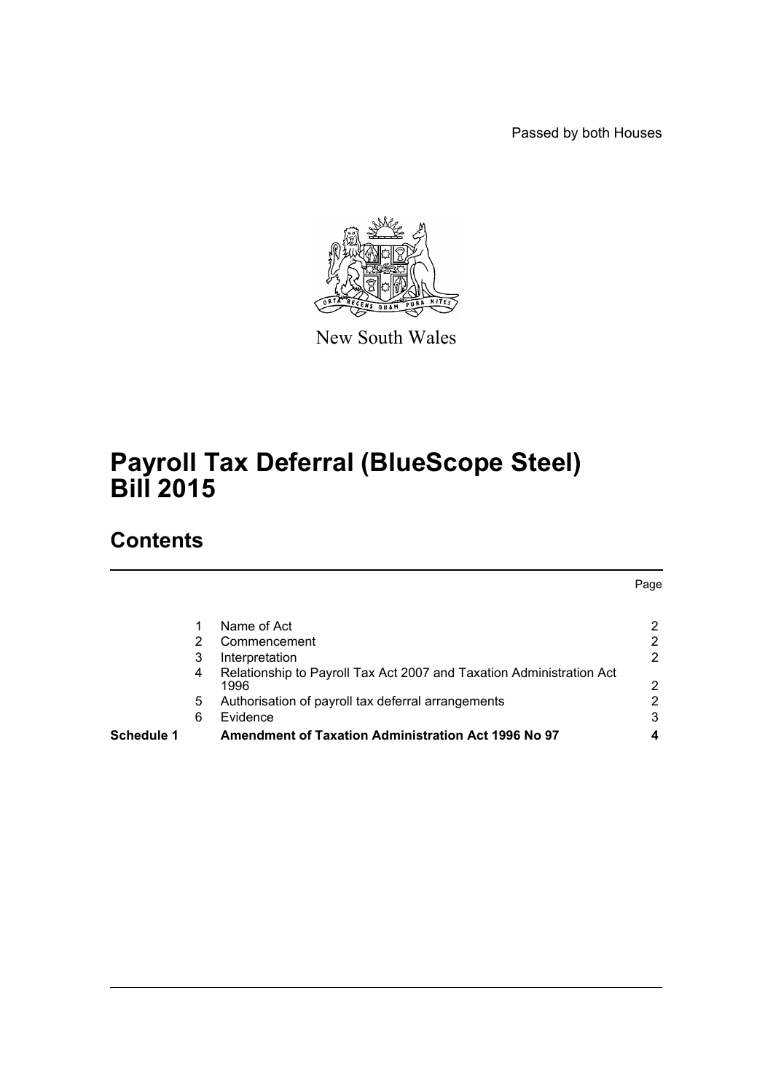Passed by both Houses



New South Wales

# **Payroll Tax Deferral (BlueScope Steel) Bill 2015**

### **Contents**

|            |   |                                                                      | Page |
|------------|---|----------------------------------------------------------------------|------|
|            |   |                                                                      |      |
|            |   | Name of Act                                                          | 2    |
|            | 2 | Commencement                                                         | 2    |
|            | 3 | Interpretation                                                       | 2    |
|            | 4 | Relationship to Payroll Tax Act 2007 and Taxation Administration Act |      |
|            |   | 1996                                                                 | 2    |
|            | 5 | Authorisation of payroll tax deferral arrangements                   | 2    |
|            | 6 | Evidence                                                             | 3    |
| Schedule 1 |   | <b>Amendment of Taxation Administration Act 1996 No 97</b>           | 4    |
|            |   |                                                                      |      |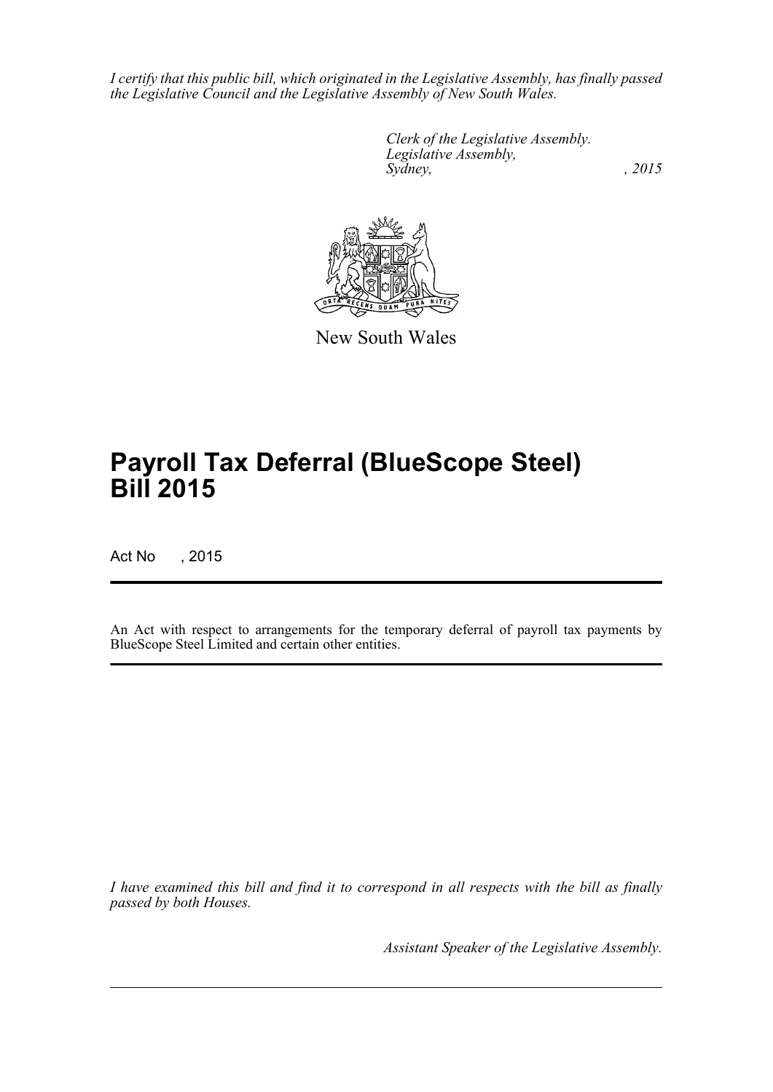*I certify that this public bill, which originated in the Legislative Assembly, has finally passed the Legislative Council and the Legislative Assembly of New South Wales.*

> *Clerk of the Legislative Assembly. Legislative Assembly, Sydney,* , 2015



New South Wales

# **Payroll Tax Deferral (BlueScope Steel) Bill 2015**

Act No , 2015

An Act with respect to arrangements for the temporary deferral of payroll tax payments by BlueScope Steel Limited and certain other entities.

*I have examined this bill and find it to correspond in all respects with the bill as finally passed by both Houses.*

*Assistant Speaker of the Legislative Assembly.*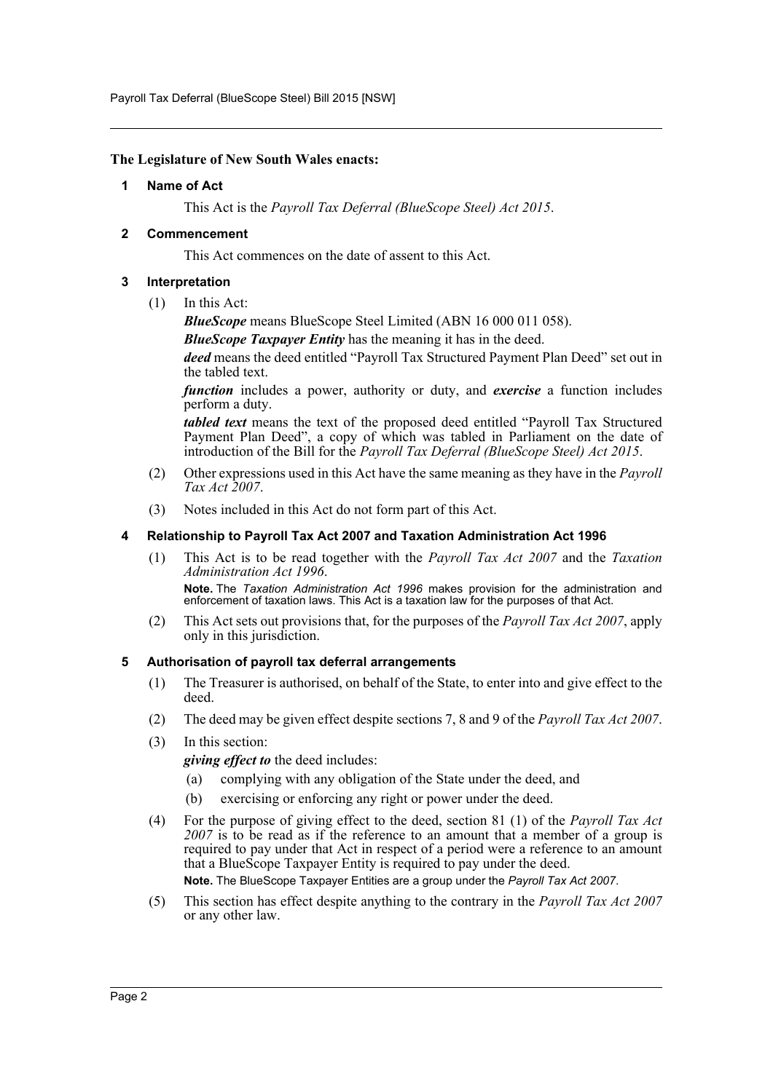Payroll Tax Deferral (BlueScope Steel) Bill 2015 [NSW]

#### <span id="page-2-0"></span>**The Legislature of New South Wales enacts:**

#### **1 Name of Act**

This Act is the *Payroll Tax Deferral (BlueScope Steel) Act 2015*.

#### <span id="page-2-1"></span>**2 Commencement**

This Act commences on the date of assent to this Act.

#### <span id="page-2-2"></span>**3 Interpretation**

(1) In this Act:

*BlueScope* means BlueScope Steel Limited (ABN 16 000 011 058).

*BlueScope Taxpayer Entity* has the meaning it has in the deed.

*deed* means the deed entitled "Payroll Tax Structured Payment Plan Deed" set out in the tabled text.

*function* includes a power, authority or duty, and *exercise* a function includes perform a duty.

*tabled text* means the text of the proposed deed entitled "Payroll Tax Structured Payment Plan Deed", a copy of which was tabled in Parliament on the date of introduction of the Bill for the *Payroll Tax Deferral (BlueScope Steel) Act 2015*.

- (2) Other expressions used in this Act have the same meaning as they have in the *Payroll Tax Act 2007*.
- (3) Notes included in this Act do not form part of this Act.

#### <span id="page-2-3"></span>**4 Relationship to Payroll Tax Act 2007 and Taxation Administration Act 1996**

- (1) This Act is to be read together with the *Payroll Tax Act 2007* and the *Taxation Administration Act 1996*. **Note.** The *Taxation Administration Act 1996* makes provision for the administration and enforcement of taxation laws. This Act is a taxation law for the purposes of that Act.
- (2) This Act sets out provisions that, for the purposes of the *Payroll Tax Act 2007*, apply only in this jurisdiction.

#### <span id="page-2-4"></span>**5 Authorisation of payroll tax deferral arrangements**

- (1) The Treasurer is authorised, on behalf of the State, to enter into and give effect to the deed.
- (2) The deed may be given effect despite sections 7, 8 and 9 of the *Payroll Tax Act 2007*.
- (3) In this section:

*giving effect to* the deed includes:

- (a) complying with any obligation of the State under the deed, and
- (b) exercising or enforcing any right or power under the deed.
- (4) For the purpose of giving effect to the deed, section 81 (1) of the *Payroll Tax Act 2007* is to be read as if the reference to an amount that a member of a group is required to pay under that Act in respect of a period were a reference to an amount that a BlueScope Taxpayer Entity is required to pay under the deed. **Note.** The BlueScope Taxpayer Entities are a group under the *Payroll Tax Act 2007*.
- (5) This section has effect despite anything to the contrary in the *Payroll Tax Act 2007* or any other law.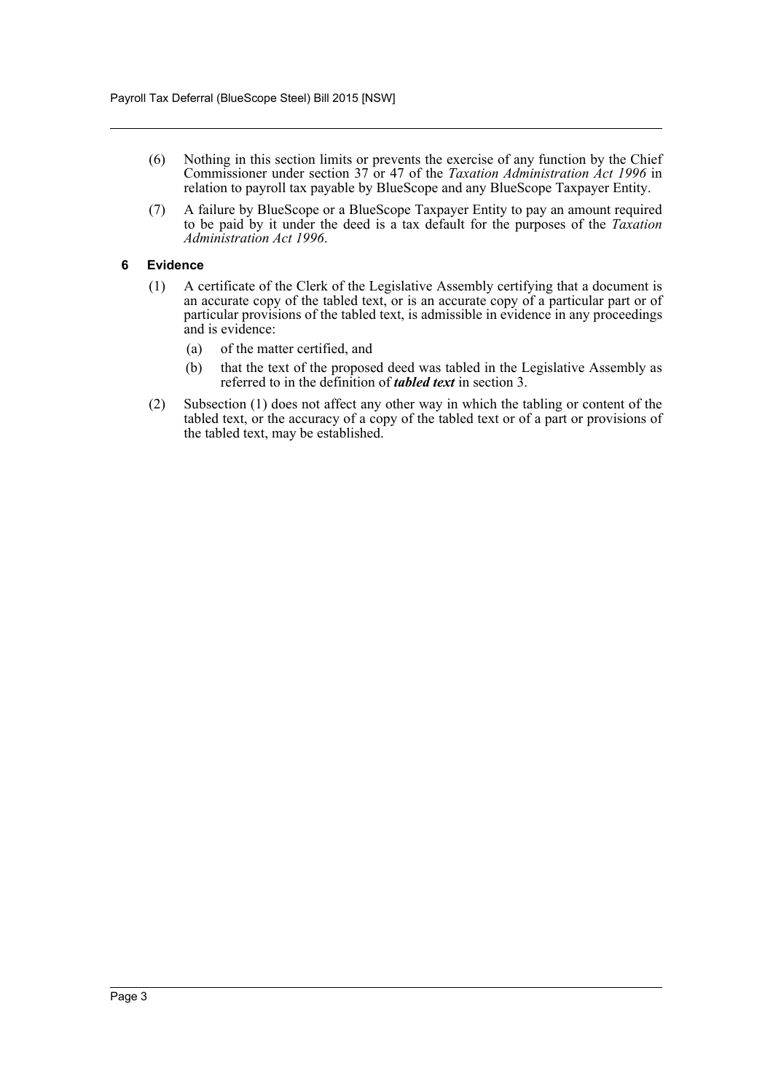- (6) Nothing in this section limits or prevents the exercise of any function by the Chief Commissioner under section 37 or 47 of the *Taxation Administration Act 1996* in relation to payroll tax payable by BlueScope and any BlueScope Taxpayer Entity.
- (7) A failure by BlueScope or a BlueScope Taxpayer Entity to pay an amount required to be paid by it under the deed is a tax default for the purposes of the *Taxation Administration Act 1996*.

#### <span id="page-3-0"></span>**6 Evidence**

- (1) A certificate of the Clerk of the Legislative Assembly certifying that a document is an accurate copy of the tabled text, or is an accurate copy of a particular part or of particular provisions of the tabled text, is admissible in evidence in any proceedings and is evidence:
	- (a) of the matter certified, and
	- (b) that the text of the proposed deed was tabled in the Legislative Assembly as referred to in the definition of *tabled text* in section 3.
- (2) Subsection (1) does not affect any other way in which the tabling or content of the tabled text, or the accuracy of a copy of the tabled text or of a part or provisions of the tabled text, may be established.